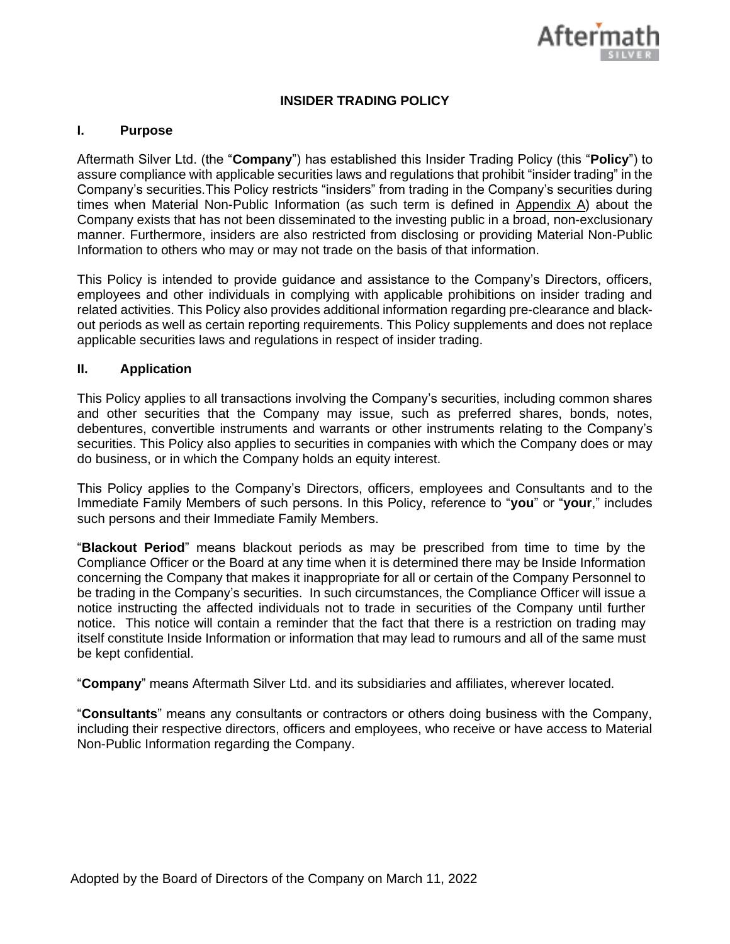

# **INSIDER TRADING POLICY**

#### **I. Purpose**

Aftermath Silver Ltd. (the "**Company**") has established this Insider Trading Policy (this "**Policy**") to assure compliance with applicable securities laws and regulations that prohibit "insider trading" in the Company's securities.This Policy restricts "insiders" from trading in the Company's securities during times when Material Non-Public Information (as such term is defined in Appendix A) about the Company exists that has not been disseminated to the investing public in a broad, non-exclusionary manner. Furthermore, insiders are also restricted from disclosing or providing Material Non-Public Information to others who may or may not trade on the basis of that information.

This Policy is intended to provide guidance and assistance to the Company's Directors, officers, employees and other individuals in complying with applicable prohibitions on insider trading and related activities. This Policy also provides additional information regarding pre-clearance and blackout periods as well as certain reporting requirements. This Policy supplements and does not replace applicable securities laws and regulations in respect of insider trading.

#### **II. Application**

This Policy applies to all transactions involving the Company's securities, including common shares and other securities that the Company may issue, such as preferred shares, bonds, notes, debentures, convertible instruments and warrants or other instruments relating to the Company's securities. This Policy also applies to securities in companies with which the Company does or may do business, or in which the Company holds an equity interest.

This Policy applies to the Company's Directors, officers, employees and Consultants and to the Immediate Family Members of such persons. In this Policy, reference to "**you**" or "**your**," includes such persons and their Immediate Family Members.

"**Blackout Period**" means blackout periods as may be prescribed from time to time by the Compliance Officer or the Board at any time when it is determined there may be Inside Information concerning the Company that makes it inappropriate for all or certain of the Company Personnel to be trading in the Company's securities. In such circumstances, the Compliance Officer will issue a notice instructing the affected individuals not to trade in securities of the Company until further notice. This notice will contain a reminder that the fact that there is a restriction on trading may itself constitute Inside Information or information that may lead to rumours and all of the same must be kept confidential.

"**Company**" means Aftermath Silver Ltd. and its subsidiaries and affiliates, wherever located.

"**Consultants**" means any consultants or contractors or others doing business with the Company, including their respective directors, officers and employees, who receive or have access to Material Non-Public Information regarding the Company.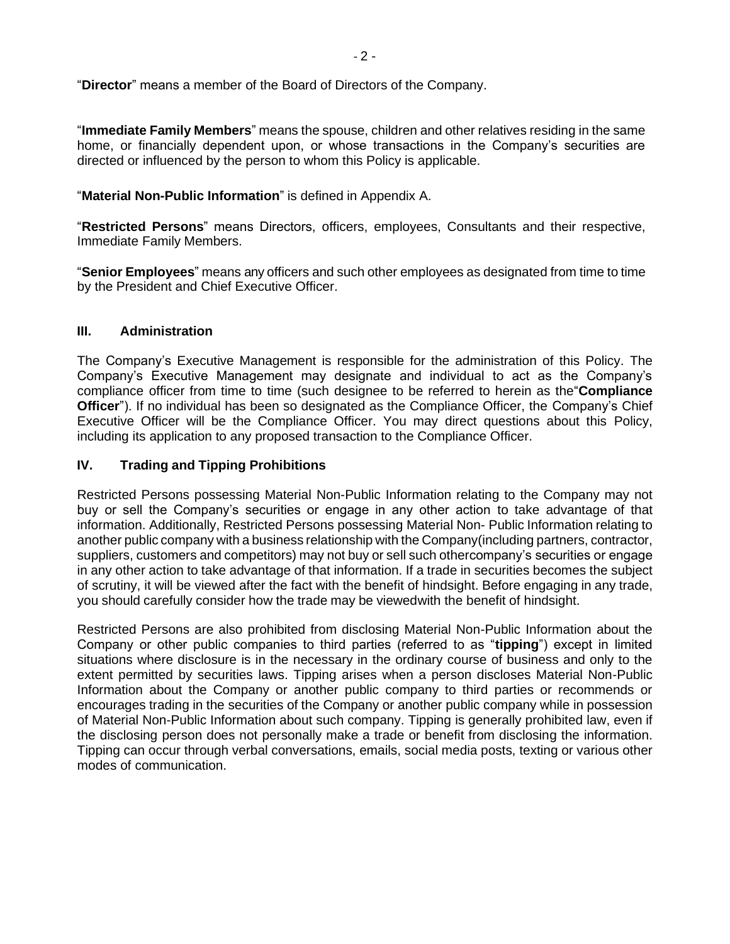"**Director**" means a member of the Board of Directors of the Company.

"**Immediate Family Members**" means the spouse, children and other relatives residing in the same home, or financially dependent upon, or whose transactions in the Company's securities are directed or influenced by the person to whom this Policy is applicable.

# "**Material Non-Public Information**" is defined in Appendix A.

"**Restricted Persons**" means Directors, officers, employees, Consultants and their respective, Immediate Family Members.

"**Senior Employees**" means any officers and such other employees as designated from time to time by the President and Chief Executive Officer.

## **III. Administration**

The Company's Executive Management is responsible for the administration of this Policy. The Company's Executive Management may designate and individual to act as the Company's compliance officer from time to time (such designee to be referred to herein as the"**Compliance Officer**"). If no individual has been so designated as the Compliance Officer, the Company's Chief Executive Officer will be the Compliance Officer. You may direct questions about this Policy, including its application to any proposed transaction to the Compliance Officer.

## **IV. Trading and Tipping Prohibitions**

Restricted Persons possessing Material Non-Public Information relating to the Company may not buy or sell the Company's securities or engage in any other action to take advantage of that information. Additionally, Restricted Persons possessing Material Non- Public Information relating to another public company with a business relationship with the Company(including partners, contractor, suppliers, customers and competitors) may not buy or sell such othercompany's securities or engage in any other action to take advantage of that information. If a trade in securities becomes the subject of scrutiny, it will be viewed after the fact with the benefit of hindsight. Before engaging in any trade, you should carefully consider how the trade may be viewedwith the benefit of hindsight.

Restricted Persons are also prohibited from disclosing Material Non-Public Information about the Company or other public companies to third parties (referred to as "**tipping**") except in limited situations where disclosure is in the necessary in the ordinary course of business and only to the extent permitted by securities laws. Tipping arises when a person discloses Material Non-Public Information about the Company or another public company to third parties or recommends or encourages trading in the securities of the Company or another public company while in possession of Material Non-Public Information about such company. Tipping is generally prohibited law, even if the disclosing person does not personally make a trade or benefit from disclosing the information. Tipping can occur through verbal conversations, emails, social media posts, texting or various other modes of communication.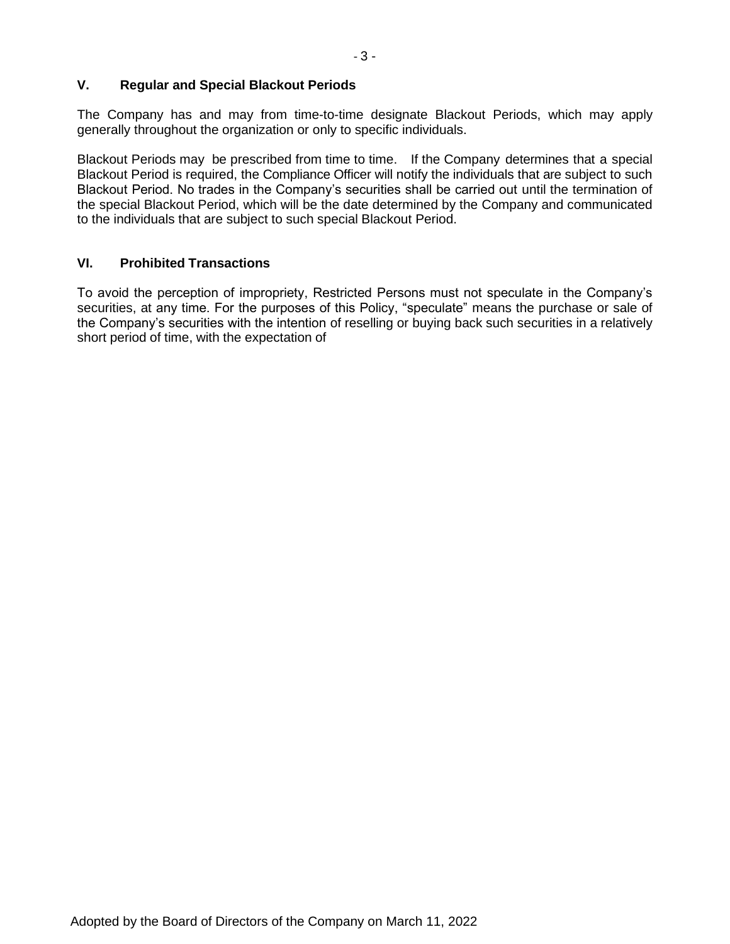# **V. Regular and Special Blackout Periods**

The Company has and may from time-to-time designate Blackout Periods, which may apply generally throughout the organization or only to specific individuals.

Blackout Periods may be prescribed from time to time. If the Company determines that a special Blackout Period is required, the Compliance Officer will notify the individuals that are subject to such Blackout Period. No trades in the Company's securities shall be carried out until the termination of the special Blackout Period, which will be the date determined by the Company and communicated to the individuals that are subject to such special Blackout Period.

## **VI. Prohibited Transactions**

To avoid the perception of impropriety, Restricted Persons must not speculate in the Company's securities, at any time. For the purposes of this Policy, "speculate" means the purchase or sale of the Company's securities with the intention of reselling or buying back such securities in a relatively short period of time, with the expectation of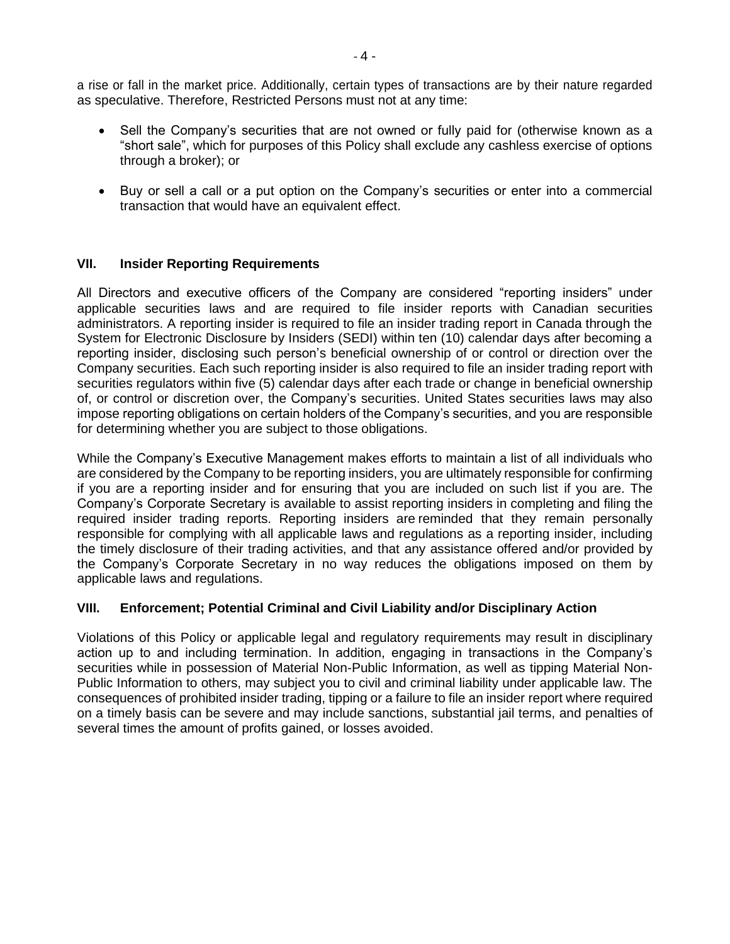a rise or fall in the market price. Additionally, certain types of transactions are by their nature regarded as speculative. Therefore, Restricted Persons must not at any time:

- Sell the Company's securities that are not owned or fully paid for (otherwise known as a "short sale", which for purposes of this Policy shall exclude any cashless exercise of options through a broker); or
- Buy or sell a call or a put option on the Company's securities or enter into a commercial transaction that would have an equivalent effect.

# **VII. Insider Reporting Requirements**

All Directors and executive officers of the Company are considered "reporting insiders" under applicable securities laws and are required to file insider reports with Canadian securities administrators. A reporting insider is required to file an insider trading report in Canada through the System for Electronic Disclosure by Insiders (SEDI) within ten (10) calendar days after becoming a reporting insider, disclosing such person's beneficial ownership of or control or direction over the Company securities. Each such reporting insider is also required to file an insider trading report with securities regulators within five (5) calendar days after each trade or change in beneficial ownership of, or control or discretion over, the Company's securities. United States securities laws may also impose reporting obligations on certain holders of the Company's securities, and you are responsible for determining whether you are subject to those obligations.

While the Company's Executive Management makes efforts to maintain a list of all individuals who are considered by the Company to be reporting insiders, you are ultimately responsible for confirming if you are a reporting insider and for ensuring that you are included on such list if you are. The Company's Corporate Secretary is available to assist reporting insiders in completing and filing the required insider trading reports. Reporting insiders are reminded that they remain personally responsible for complying with all applicable laws and regulations as a reporting insider, including the timely disclosure of their trading activities, and that any assistance offered and/or provided by the Company's Corporate Secretary in no way reduces the obligations imposed on them by applicable laws and regulations.

# **VIII. Enforcement; Potential Criminal and Civil Liability and/or Disciplinary Action**

Violations of this Policy or applicable legal and regulatory requirements may result in disciplinary action up to and including termination. In addition, engaging in transactions in the Company's securities while in possession of Material Non-Public Information, as well as tipping Material Non-Public Information to others, may subject you to civil and criminal liability under applicable law. The consequences of prohibited insider trading, tipping or a failure to file an insider report where required on a timely basis can be severe and may include sanctions, substantial jail terms, and penalties of several times the amount of profits gained, or losses avoided.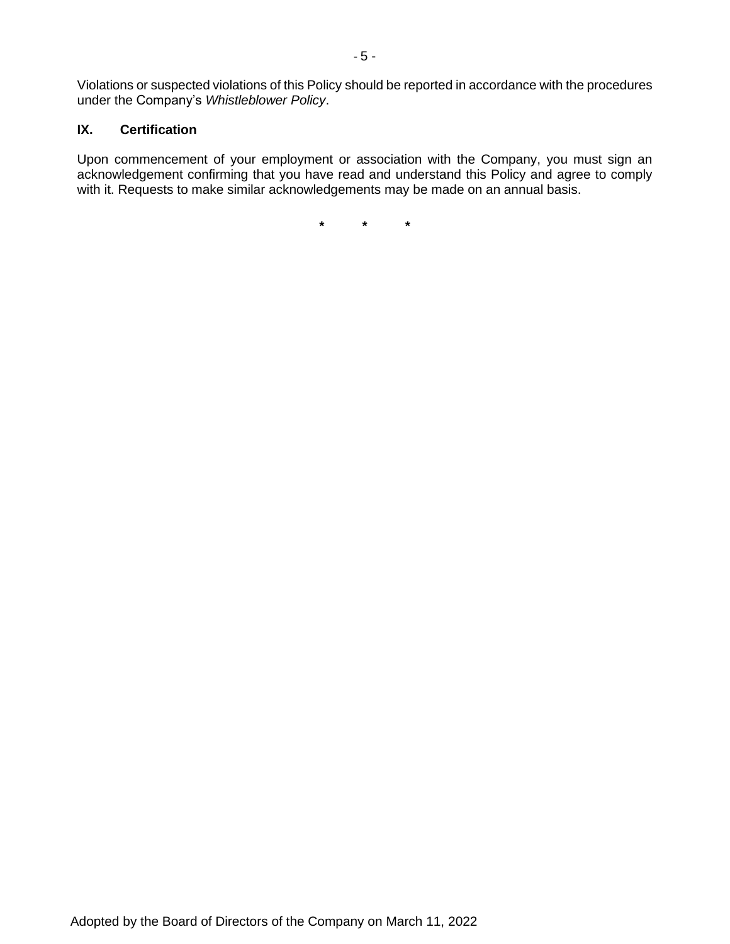Violations or suspected violations of this Policy should be reported in accordance with the procedures under the Company's *Whistleblower Policy*.

#### **IX. Certification**

Upon commencement of your employment or association with the Company, you must sign an acknowledgement confirming that you have read and understand this Policy and agree to comply with it. Requests to make similar acknowledgements may be made on an annual basis.

**\* \* \***